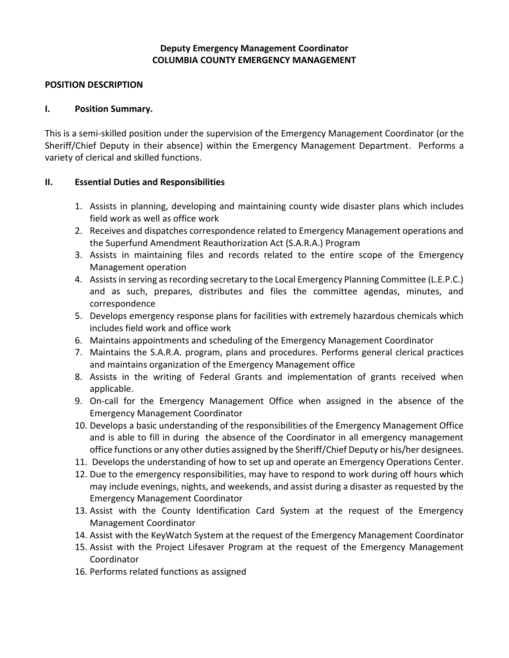## **Deputy Emergency Management Coordinator COLUMBIA COUNTY EMERGENCY MANAGEMENT**

### **POSITION DESCRIPTION**

### **I. Position Summary.**

This is a semi-skilled position under the supervision of the Emergency Management Coordinator (or the Sheriff/Chief Deputy in their absence) within the Emergency Management Department. Performs a variety of clerical and skilled functions.

## **II. Essential Duties and Responsibilities**

- 1. Assists in planning, developing and maintaining county wide disaster plans which includes field work as well as office work
- 2. Receives and dispatches correspondence related to Emergency Management operations and the Superfund Amendment Reauthorization Act (S.A.R.A.) Program
- 3. Assists in maintaining files and records related to the entire scope of the Emergency Management operation
- 4. Assists in serving as recording secretary to the Local Emergency Planning Committee (L.E.P.C.) and as such, prepares, distributes and files the committee agendas, minutes, and correspondence
- 5. Develops emergency response plans for facilities with extremely hazardous chemicals which includes field work and office work
- 6. Maintains appointments and scheduling of the Emergency Management Coordinator
- 7. Maintains the S.A.R.A. program, plans and procedures. Performs general clerical practices and maintains organization of the Emergency Management office
- 8. Assists in the writing of Federal Grants and implementation of grants received when applicable.
- 9. On-call for the Emergency Management Office when assigned in the absence of the Emergency Management Coordinator
- 10. Develops a basic understanding of the responsibilities of the Emergency Management Office and is able to fill in during the absence of the Coordinator in all emergency management office functions or any other duties assigned by the Sheriff/Chief Deputy or his/her designees.
- 11. Develops the understanding of how to set up and operate an Emergency Operations Center.
- 12. Due to the emergency responsibilities, may have to respond to work during off hours which may include evenings, nights, and weekends, and assist during a disaster as requested by the Emergency Management Coordinator
- 13. Assist with the County Identification Card System at the request of the Emergency Management Coordinator
- 14. Assist with the KeyWatch System at the request of the Emergency Management Coordinator
- 15. Assist with the Project Lifesaver Program at the request of the Emergency Management Coordinator
- 16. Performs related functions as assigned